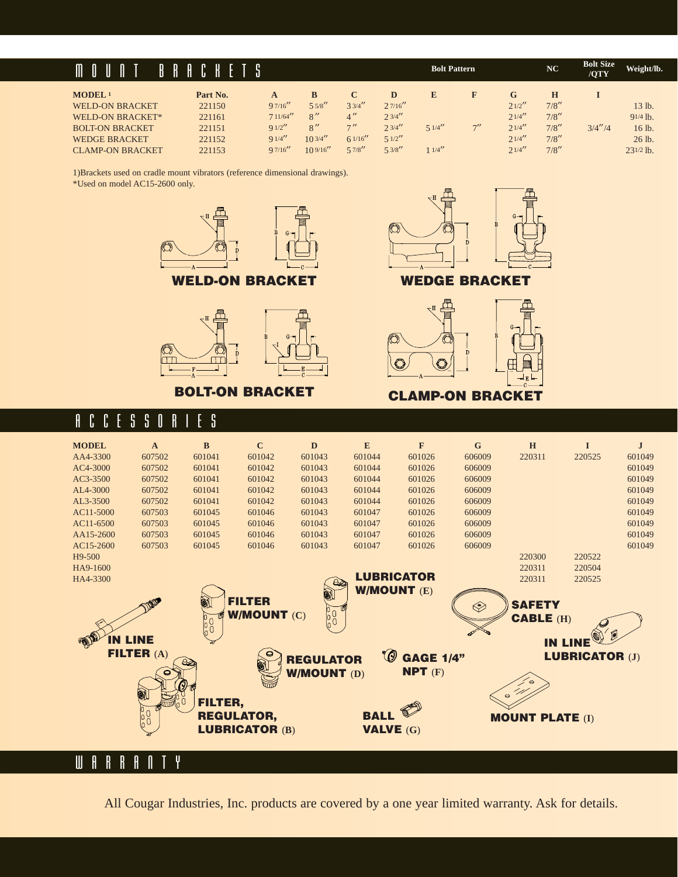### MOUNT BRACKETS

| MODEL <sup>1</sup>      | Part No. |          |          |         |          |        |     | G       |       |         |                |
|-------------------------|----------|----------|----------|---------|----------|--------|-----|---------|-------|---------|----------------|
| <b>WELD-ON BRACKET</b>  | 221150   | 97/16''  | 55/8''   | 33/4''  | 2.7/16'' |        |     | 21/2''  | 7/8'' |         | 13 lb.         |
| WELD-ON BRACKET*        | 221161   | 711/64'' | 8''      | 4''     | 2.3/4''  |        |     | 2.1/4'' | 7/8'' |         | $91/4$ lb.     |
| <b>BOLT-ON BRACKET</b>  | 221151   | 91/2''   | 8''      | 7''     | 2.3/4''  | 51/4'' | 711 | 2.1/4'' | 7/8'' | 3/4''/4 | 16 lb.         |
| <b>WEDGE BRACKET</b>    | 221152   | 91/4''   | 103/4''  | 61/16'' | 51/2''   |        |     | 21/4''  | 7/8'' |         | 26 lb.         |
| <b>CLAMP-ON BRACKET</b> | 221153   | 97/16''  | 109/16'' | 57/8''  | 53/8''   | 11/4   |     | 2.1/4'' | 7/8'' |         | $23^{1/2}$ lb. |

1)Brackets used on cradle mount vibrators (reference dimensional drawings).

\*Used on model AC15-2600 only.







**Bolt Pattern**  $\mathbb{N}\mathbb{C}$  **<b>Bolt Size** Weight/lb.



#### **BOLT-ON BRACKET CLAMP-ON BRACKET**

#### ACCESSORIES



All Cougar Industries, Inc. products are covered by a one year limited warranty. Ask for details.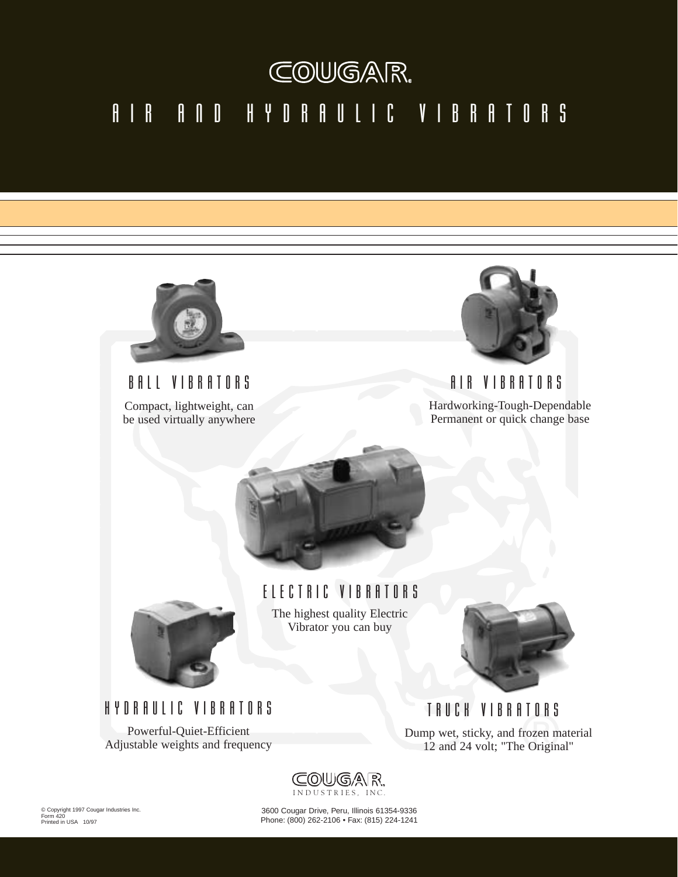# COUGAR. AIR AND HYDRAULIC VIBRATORS



Compact, lightweight, can be used virtually anywhere



BALL VIBRATORS AIR VIBRATORS Hardworking-Tough-Dependable Permanent or quick change base





ELECTRIC VIBRATORS The highest quality Electric Vibrator you can buy



HYDRAULIC VIBRATORS

Powerful-Quiet-Efficient Adjustable weights and frequency

TRUCK VIBRATORS Dump wet, sticky, and frozen material 12 and 24 volt; "The Original"



© Copyright 1997 Cougar Industries Inc. Form 420 Printed in USA 10/97

3600 Cougar Drive, Peru, Illinois 61354-9336 Phone: (800) 262-2106 • Fax: (815) 224-1241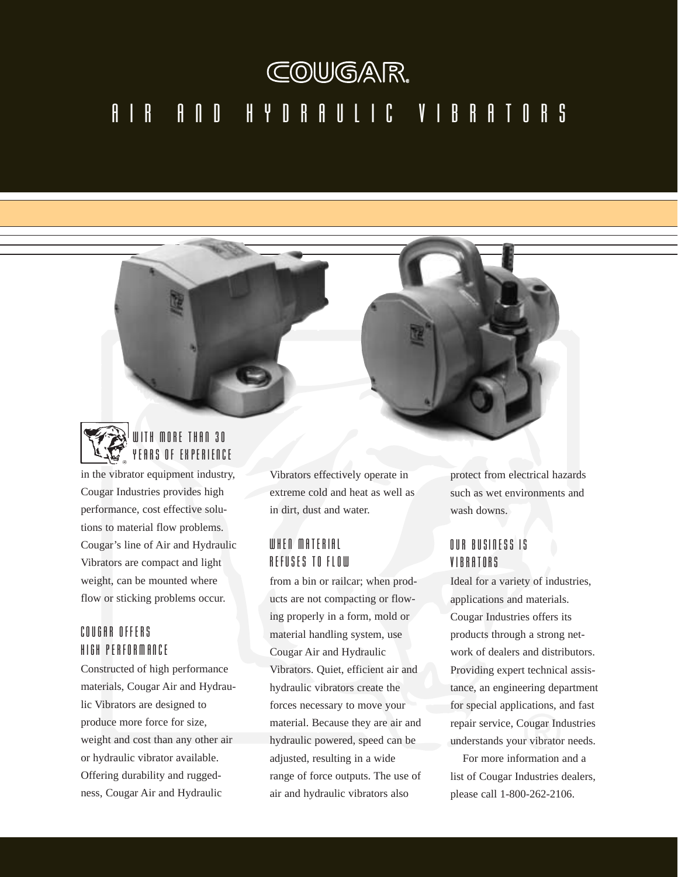# COUGAR. AIR AND HYDRAULIC VIBRATORS



in the vibrator equipment industry, Cougar Industries provides high performance, cost effective solutions to material flow problems. Cougar's line of Air and Hydraulic Vibrators are compact and light weight, can be mounted where flow or sticking problems occur.

#### COUGAR OFFERS HIGH PERFORMANCE

Constructed of high performance materials, Cougar Air and Hydraulic Vibrators are designed to produce more force for size, weight and cost than any other air or hydraulic vibrator available. Offering durability and ruggedness, Cougar Air and Hydraulic

Vibrators effectively operate in extreme cold and heat as well as in dirt, dust and water.

#### WHEN MATERIAL REFUSES TO FLOW

from a bin or railcar; when products are not compacting or flowing properly in a form, mold or material handling system, use Cougar Air and Hydraulic Vibrators. Quiet, efficient air and hydraulic vibrators create the forces necessary to move your material. Because they are air and hydraulic powered, speed can be adjusted, resulting in a wide range of force outputs. The use of air and hydraulic vibrators also

protect from electrical hazards such as wet environments and wash downs.

#### OUR BUSINESS IS **VIRRATORS**

Ideal for a variety of industries, applications and materials. Cougar Industries offers its products through a strong network of dealers and distributors. Providing expert technical assistance, an engineering department for special applications, and fast repair service, Cougar Industries understands your vibrator needs.

For more information and a list of Cougar Industries dealers, please call 1-800-262-2106.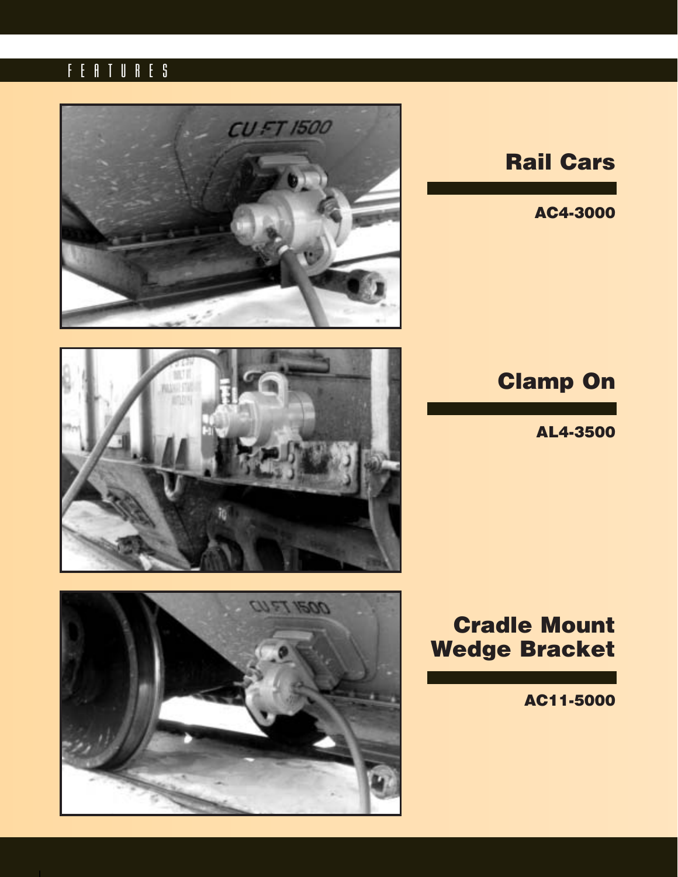## FEATURES



# **Rail Cars**

**AC4-3000**





# **Clamp On**

**AL4-3500**

# **Cradle Mount Wedge Bracket**

**AC11-5000**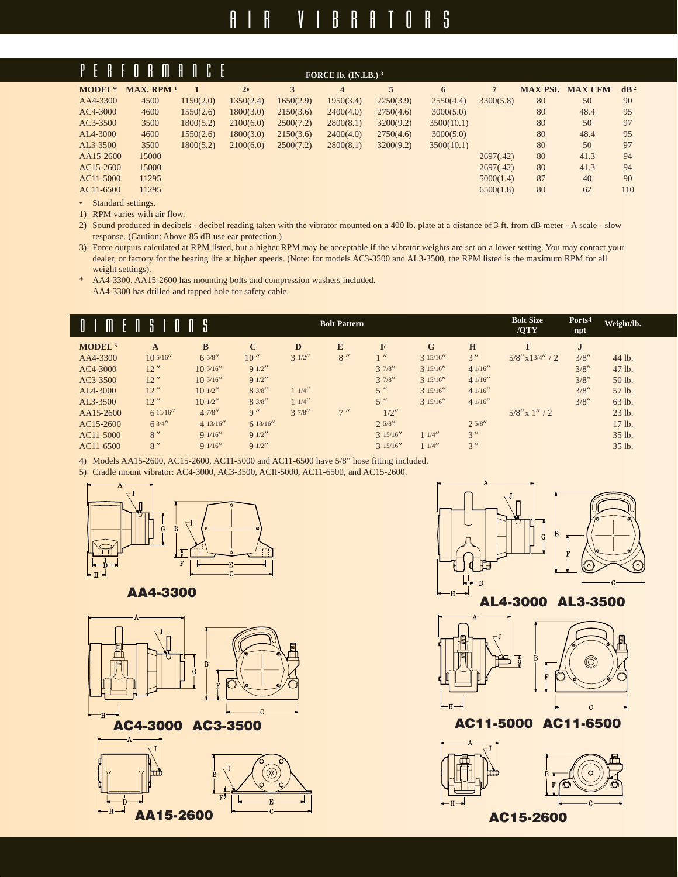# AIR VIBRATORS

| PERF                               | $\mathbb{I}$<br>$\mathbb I$<br>$\mathbf{R}$ | A.        |           |           | FORCE lb. $(IN.LB.)3$   |           |            |                |                 |                |                 |
|------------------------------------|---------------------------------------------|-----------|-----------|-----------|-------------------------|-----------|------------|----------------|-----------------|----------------|-----------------|
| MODEL*                             | MAX. RPM <sup>1</sup>                       |           | 2•        | 3         | $\overline{\mathbf{4}}$ | 5         | 6          | $\overline{7}$ | <b>MAX PSI.</b> | <b>MAX CFM</b> | dB <sup>2</sup> |
| AA4-3300                           | 4500                                        | 1150(2.0) | 1350(2.4) | 1650(2.9) | 1950(3.4)               | 2250(3.9) | 2550(4.4)  | 3300(5.8)      | 80              | 50             | 90              |
| AC4-3000                           | 4600                                        | 1550(2.6) | 1800(3.0) | 2150(3.6) | 2400(4.0)               | 2750(4.6) | 3000(5.0)  |                | 80              | 48.4           | 95              |
| AC3-3500                           | 3500                                        | 1800(5.2) | 2100(6.0) | 2500(7.2) | 2800(8.1)               | 3200(9.2) | 3500(10.1) |                | 80              | 50             | 97              |
| AL4-3000                           | 4600                                        | 1550(2.6) | 1800(3.0) | 2150(3.6) | 2400(4.0)               | 2750(4.6) | 3000(5.0)  |                | 80              | 48.4           | 95              |
| $AL3-3500$                         | 3500                                        | 1800(5.2) | 2100(6.0) | 2500(7.2) | 2800(8.1)               | 3200(9.2) | 3500(10.1) |                | 80              | 50             | 97              |
| AA15-2600                          | 15000                                       |           |           |           |                         |           |            | 2697(.42)      | 80              | 41.3           | 94              |
| AC15-2600                          | 15000                                       |           |           |           |                         |           |            | 2697(.42)      | 80              | 41.3           | 94              |
| AC11-5000                          | 11295                                       |           |           |           |                         |           |            | 5000(1.4)      | 87              | 40             | 90              |
| AC11-6500                          | 11295                                       |           |           |           |                         |           |            | 6500(1.8)      | 80              | 62             | 110             |
| $\sim$ $\sim$ $\sim$ $\sim$ $\sim$ |                                             |           |           |           |                         |           |            |                |                 |                |                 |

• Standard settings.

1) RPM varies with air flow.

2) Sound produced in decibels - decibel reading taken with the vibrator mounted on a 400 lb. plate at a distance of 3 ft. from dB meter - A scale - slow response. (Caution: Above 85 dB use ear protection.)

3) Force outputs calculated at RPM listed, but a higher RPM may be acceptable if the vibrator weights are set on a lower setting. You may contact your dealer, or factory for the bearing life at higher speeds. (Note: for models AC3-3500 and AL3-3500, the RPM listed is the maximum RPM for all weight settings).

\* AA4-3300, AA15-2600 has mounting bolts and compression washers included. AA4-3300 has drilled and tapped hole for safety cable.

|                           |                  |               |             |        | <b>Bolt Pattern</b> |          |          |         | <b>Bolt Size</b>   | Ports <sup>4</sup> | Weight/lb. |
|---------------------------|------------------|---------------|-------------|--------|---------------------|----------|----------|---------|--------------------|--------------------|------------|
|                           |                  |               |             |        |                     |          |          |         | /QTY               | npt                |            |
| <b>MODEL</b> <sup>5</sup> | A                | $\bf{B}$      | $\mathbf C$ | D      | E                   | F        | G        | H       |                    | $\mathbf{I}$       |            |
| AA4-3300                  | $10\frac{5}{16}$ | 65/8''        | 10''        | 31/2'' | 8''                 | $1$ "    | 315/16'' | 3''     | $5/8''$ x13/4" / 2 | 3/8''              | 44 lb.     |
| AC4-3000                  | 12''             | $10^{5/16''}$ | 91/2''      |        |                     | 37/8''   | 315/16'' | 41/16'' |                    | 3/8''              | 47 lb.     |
| AC3-3500                  | 12''             | 10,5/16''     | 91/2''      |        |                     | 37/8''   | 315/16'' | 41/16'' |                    | 3/8''              | 50 lb.     |
| AL4-3000                  | 12''             | $10^{1/2}$    | 83/8''      | 11/4'' |                     | 5''      | 315/16'' | 41/16'' |                    | 3/8''              | 57 lb.     |
| AL3-3500                  | 12''             | $10^{1/2}$    | 83/8''      | 11/4'' |                     | 5''      | 315/16'' | 41/16'' |                    | 3/8''              | 63 lb.     |
| AA15-2600                 | 611/16''         | 47/8''        | 9''         | 37/8'' | 7''                 | 1/2''    |          |         | $5/8''$ x 1" / 2   |                    | 23 lb.     |
| AC15-2600                 | 63/4''           | 413/16''      | 613/16''    |        |                     | 2.5/8''  |          | 2.5/8'' |                    |                    | 17 lb.     |
| AC11-5000                 | 8''              | 91/16''       | 91/2''      |        |                     | 315/16'' | 11/4''   | 3''     |                    |                    | 35 lb.     |
| AC11-6500                 | 8''              | 91/16''       | 91/2''      |        |                     | 315/16'' | 11/4''   | 3''     |                    |                    | 35 lb.     |

4) Models AA15-2600, AC15-2600, AC11-5000 and AC11-6500 have 5/8" hose fitting included.

5) Cradle mount vibrator: AC4-3000, AC3-3500, ACII-5000, AC11-6500, and AC15-2600.











# **AA4-3300 AL4-3000 AL3-3500**





#### **AC4-3000 AC3-3500 AC11-5000 AC11-6500**